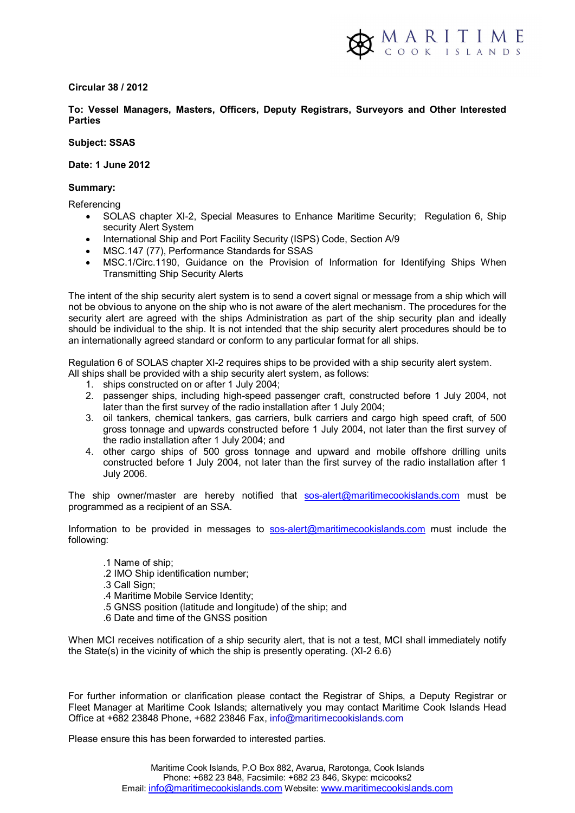

### **Circular 38 / 2012**

# **To: Vessel Managers, Masters, Officers, Deputy Registrars, Surveyors and Other Interested Parties**

### **Subject: SSAS**

#### **Date: 1 June 2012**

## **Summary:**

**Referencing** 

- SOLAS chapter XI-2, Special Measures to Enhance Maritime Security; Regulation 6, Ship security Alert System
- International Ship and Port Facility Security (ISPS) Code, Section A/9
- MSC.147 (77), Performance Standards for SSAS
- MSC.1/Circ.1190, Guidance on the Provision of Information for Identifying Ships When Transmitting Ship Security Alerts

The intent of the ship security alert system is to send a covert signal or message from a ship which will not be obvious to anyone on the ship who is not aware of the alert mechanism. The procedures for the security alert are agreed with the ships Administration as part of the ship security plan and ideally should be individual to the ship. It is not intended that the ship security alert procedures should be to an internationally agreed standard or conform to any particular format for all ships.

Regulation 6 of SOLAS chapter XI-2 requires ships to be provided with a ship security alert system. All ships shall be provided with a ship security alert system, as follows:

- 1. ships constructed on or after 1 July 2004;
- 2. passenger ships, including high-speed passenger craft, constructed before 1 July 2004, not later than the first survey of the radio installation after 1 July 2004;
- 3. oil tankers, chemical tankers, gas carriers, bulk carriers and cargo high speed craft, of 500 gross tonnage and upwards constructed before 1 July 2004, not later than the first survey of the radio installation after 1 July 2004; and
- 4. other cargo ships of 500 gross tonnage and upward and mobile offshore drilling units constructed before 1 July 2004, not later than the first survey of the radio installation after 1 July 2006.

The ship owner/master are hereby notified that sos-alert@maritimecookislands.com must be programmed as a recipient of an SSA.

Information to be provided in messages to sos-alert@maritimecookislands.com must include the following:

- .1 Name of ship;
- .2 IMO Ship identification number;
- .3 Call Sign;
- .4 Maritime Mobile Service Identity;
- .5 GNSS position (latitude and longitude) of the ship; and
- .6 Date and time of the GNSS position

When MCI receives notification of a ship security alert, that is not a test. MCI shall immediately notify the State(s) in the vicinity of which the ship is presently operating. (XI-2 6.6)

For further information or clarification please contact the Registrar of Ships, a Deputy Registrar or Fleet Manager at Maritime Cook Islands; alternatively you may contact Maritime Cook Islands Head Office at +682 23848 Phone, +682 23846 Fax, info@maritimecookislands.com

Please ensure this has been forwarded to interested parties.